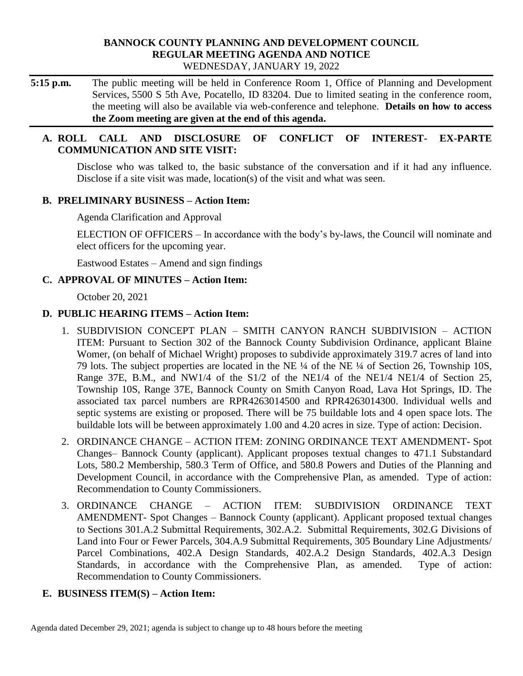#### **BANNOCK COUNTY PLANNING AND DEVELOPMENT COUNCIL REGULAR MEETING AGENDA AND NOTICE** WEDNESDAY, JANUARY 19, 2022

**5:15 p.m.** The public meeting will be held in Conference Room 1, Office of Planning and Development Services, 5500 S 5th Ave, Pocatello, ID 83204. Due to limited seating in the conference room, the meeting will also be available via web-conference and telephone. **Details on how to access the Zoom meeting are given at the end of this agenda.** 

## **A. ROLL CALL AND DISCLOSURE OF CONFLICT OF INTEREST- EX-PARTE COMMUNICATION AND SITE VISIT:**

Disclose who was talked to, the basic substance of the conversation and if it had any influence. Disclose if a site visit was made, location(s) of the visit and what was seen.

## **B. PRELIMINARY BUSINESS – Action Item:**

Agenda Clarification and Approval

ELECTION OF OFFICERS – In accordance with the body's by-laws, the Council will nominate and elect officers for the upcoming year.

Eastwood Estates – Amend and sign findings

## **C. APPROVAL OF MINUTES – Action Item:**

October 20, 2021

## **D. PUBLIC HEARING ITEMS – Action Item:**

- 1. SUBDIVISION CONCEPT PLAN SMITH CANYON RANCH SUBDIVISION ACTION ITEM: Pursuant to Section 302 of the Bannock County Subdivision Ordinance, applicant Blaine Womer, (on behalf of Michael Wright) proposes to subdivide approximately 319.7 acres of land into 79 lots. The subject properties are located in the NE ¼ of the NE ¼ of Section 26, Township 10S, Range 37E, B.M., and NW1/4 of the S1/2 of the NE1/4 of the NE1/4 NE1/4 of Section 25, Township 10S, Range 37E, Bannock County on Smith Canyon Road, Lava Hot Springs, ID. The associated tax parcel numbers are RPR4263014500 and RPR4263014300. Individual wells and septic systems are existing or proposed. There will be 75 buildable lots and 4 open space lots. The buildable lots will be between approximately 1.00 and 4.20 acres in size. Type of action: Decision.
- 2. ORDINANCE CHANGE ACTION ITEM: ZONING ORDINANCE TEXT AMENDMENT- Spot Changes– Bannock County (applicant). Applicant proposes textual changes to 471.1 Substandard Lots, 580.2 Membership, 580.3 Term of Office, and 580.8 Powers and Duties of the Planning and Development Council, in accordance with the Comprehensive Plan, as amended. Type of action: Recommendation to County Commissioners.
- 3. ORDINANCE CHANGE ACTION ITEM: SUBDIVISION ORDINANCE TEXT AMENDMENT- Spot Changes – Bannock County (applicant). Applicant proposed textual changes to Sections 301.A.2 Submittal Requirements, 302.A.2. Submittal Requirements, 302.G Divisions of Land into Four or Fewer Parcels, 304.A.9 Submittal Requirements, 305 Boundary Line Adjustments/ Parcel Combinations, 402.A Design Standards, 402.A.2 Design Standards, 402.A.3 Design Standards, in accordance with the Comprehensive Plan, as amended. Type of action: Recommendation to County Commissioners.

## **E. BUSINESS ITEM(S) – Action Item:**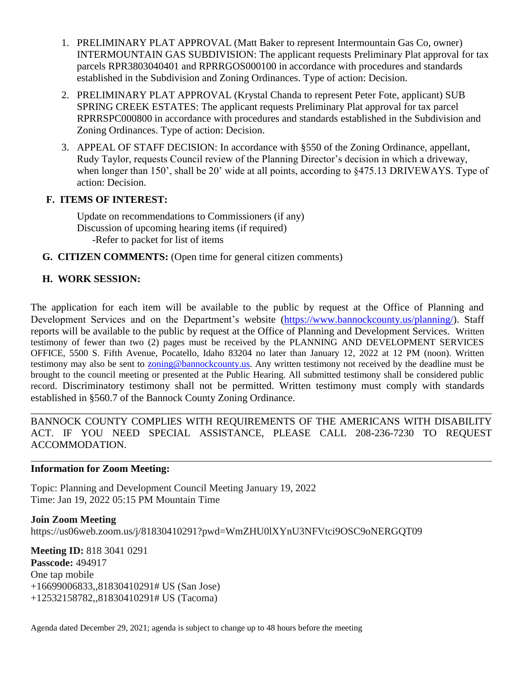- 1. PRELIMINARY PLAT APPROVAL (Matt Baker to represent Intermountain Gas Co, owner) INTERMOUNTAIN GAS SUBDIVISION: The applicant requests Preliminary Plat approval for tax parcels RPR3803040401 and RPRRGOS000100 in accordance with procedures and standards established in the Subdivision and Zoning Ordinances. Type of action: Decision.
- 2. PRELIMINARY PLAT APPROVAL (Krystal Chanda to represent Peter Fote, applicant) SUB SPRING CREEK ESTATES: The applicant requests Preliminary Plat approval for tax parcel RPRRSPC000800 in accordance with procedures and standards established in the Subdivision and Zoning Ordinances. Type of action: Decision.
- 3. APPEAL OF STAFF DECISION: In accordance with §550 of the Zoning Ordinance, appellant, Rudy Taylor, requests Council review of the Planning Director's decision in which a driveway, when longer than 150', shall be 20' wide at all points, according to  $\S 475.13$  DRIVEWAYS. Type of action: Decision.

#### **F. ITEMS OF INTEREST:**

Update on recommendations to Commissioners (if any) Discussion of upcoming hearing items (if required) -Refer to packet for list of items

**G. CITIZEN COMMENTS:** (Open time for general citizen comments)

# **H. WORK SESSION:**

The application for each item will be available to the public by request at the Office of Planning and Development Services and on the Department's website [\(https://www.bannockcounty.us/planning/\)](https://www.bannockcounty.us/planning/). Staff reports will be available to the public by request at the Office of Planning and Development Services. Written testimony of fewer than two (2) pages must be received by the PLANNING AND DEVELOPMENT SERVICES OFFICE, 5500 S. Fifth Avenue, Pocatello, Idaho 83204 no later than January 12, 2022 at 12 PM (noon). Written testimony may also be sent to [zoning@bannockcounty.us.](mailto:zoning@bannockcounty.us) Any written testimony not received by the deadline must be brought to the council meeting or presented at the Public Hearing. All submitted testimony shall be considered public record. Discriminatory testimony shall not be permitted. Written testimony must comply with standards established in §560.7 of the Bannock County Zoning Ordinance.

\_\_\_\_\_\_\_\_\_\_\_\_\_\_\_\_\_\_\_\_\_\_\_\_\_\_\_\_\_\_\_\_\_\_\_\_\_\_\_\_\_\_\_\_\_\_\_\_\_\_\_\_\_\_\_\_\_\_\_\_\_\_\_\_\_\_\_\_\_\_\_\_\_\_\_\_\_\_\_\_\_\_\_\_\_\_\_\_\_\_ BANNOCK COUNTY COMPLIES WITH REQUIREMENTS OF THE AMERICANS WITH DISABILITY ACT. IF YOU NEED SPECIAL ASSISTANCE, PLEASE CALL 208-236-7230 TO REQUEST ACCOMMODATION.

#### **Information for Zoom Meeting:**

Topic: Planning and Development Council Meeting January 19, 2022 Time: Jan 19, 2022 05:15 PM Mountain Time

**Join Zoom Meeting** https://us06web.zoom.us/j/81830410291?pwd=WmZHU0lXYnU3NFVtci9OSC9oNERGQT09

**Meeting ID:** 818 3041 0291 **Passcode:** 494917 One tap mobile +16699006833,,81830410291# US (San Jose) +12532158782,,81830410291# US (Tacoma)